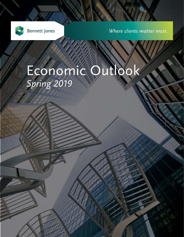

Bennett Jones

*Where clients matter most.*

# Economic Outlook *Spring 2019*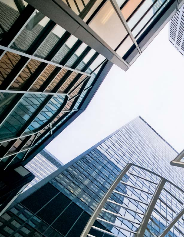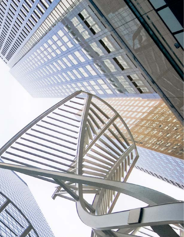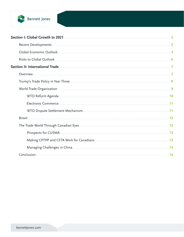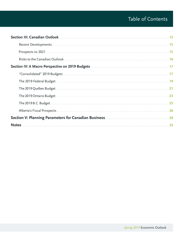### Table of Contents

|       | <b>15</b> |
|-------|-----------|
|       | .15       |
|       | .15       |
|       |           |
|       |           |
|       |           |
|       | .19       |
|       | 21        |
|       | 23        |
|       | .25       |
|       | 26        |
|       | 29        |
| Notes | 32        |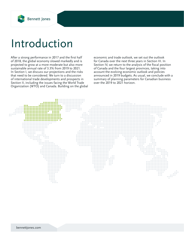

# Introduction

After a strong performance in 2017 and the first half of 2018, the global economy slowed markedly and is projected to grow at a more moderate but also more sustainable annual rate of 3.3% from 2019 to 2021. In Section I, we discuss our projections and the risks that need to be considered. We turn to a discussion of international trade developments and prospects in Section II, including the issues facing the World Trade Organization (WTO) and Canada. Building on the global economic and trade outlook, we set out the outlook for Canada over the next three years in Section III. In Section IV, we return to the analysis of the fiscal position of Canada and the four largest provinces, taking into account the evolving economic outlook and policies announced in 2019 budgets. As usual, we conclude with a summary of planning parameters for Canadian business over the 2019 to 2021 horizon.

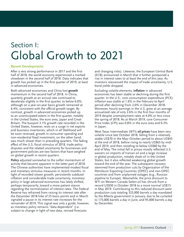# Section I: Global Growth to 2021

#### **Recent Developments**

After a very strong performance in 2017 and the first half of 2018, the world economy experienced a marked slowdown in the second half of 2018. Data indicates that growth has picked up in the first quarter of 2019, at least in advanced economies.

Both advanced economies and China lost **growth**  momentum in the second half of 2018. In China, quarterly growth at an annual rate continued to decelerate slightly in the first quarter, to below 6.0%, although on a year-on-year basis growth remained at 6.4%, consistent with the official growth target. By contrast, growth in advanced economies picked up to an unanticipated extent in the first quarter, notably in the United States, the euro area, Japan and Great Britain. The buoyant 3.1% growth rate recorded in the United States, however, rests on a surge in net exports and business inventories, which in all likelihood will be soon reversed; growth in consumer spending and non-residential fixed investment, on the other hand, was much slower than in preceding quarters. The fading effect of the U.S. fiscal stimulus of 2018, trade policy disputes and the related uncertainty for businesses and government policies are two factors that have weighed on global growth in recent quarters.

**Policy** adjusted somewhat to the softer momentum of activity that became apparent in the latter part of 2018. The Chinese authorities have implemented modest fiscal and monetary stimulus measures in recent months. In light of recorded slower growth, persistently subdued inflation and considerable trade uncertainty, monetary policy in large advanced economies has lately shifted, perhaps temporarily, toward a more patient stance regarding the normalization of interest rates. The Federal Reserve has refrained from raising its interest rate after the December 2018 hike of 25 basis points and in March signaled a pause in its interest rate increases for the remainder of 2019. This signal was only a guide, however, as monetary policy remains "data dependent" (i.e. subject to change in light of new data, revised forecasts

and changing risks). Likewise, the European Central Bank (ECB) announced in March that it further postponed a rise in interest rates to at least the end of this year. As investors reassessed the impact of trade uncertainty, U.S. bond yields dropped.

Excluding volatile elements, **inflation** in advanced economies has been stable or declining during the first quarter. In the U.S., core consumption expenditure (PCE) inflation was stable at 1.6% in the February to April period after declining from 2.0% in December 2018. Moreover, hourly earnings in the U.S. grew at an average annualized rate of only 2.6% in the first four months of 2019 despite unemployment rates at 4.0% or less since the spring of 2018. As at March 2019, core Consumer Price Index (CPI) was 0.8% in the euro area and 0.3% in Japan.

West Texas Intermediate (WTI) **oil prices** have been very volatile since late October 2018, falling from a relatively stable US\$70 in the May–October period to about US\$45 at the end of 2018, before rising to nearly US\$65 by mid-April 2019, and then receding to below US\$60 by the end of May. The initial fall in prices mostly reflected U.S. waivers on imports of Iranian oil and a large increase in global production, notably shale oil in the United States, but it also reflected weakening global growth toward the end of the year. The subsequent recovery stemmed from production cuts by Organization of the Petroleum Exporting Countries (OPEC) and non-OPEC countries and from unplanned outages (e.g., Russian pipeline to Europe). Meanwhile, the price discount to WTI on Western Canada Select oil has shrunk from a record US\$50 in October 2018 to a more normal US\$15 in May 2019. Contributing to this reduced discount were production cuts totaling 325,000 barrels a day mandated by the Alberta government in January, due to be curtailed to 175,000 barrels a day in June, and 95,000 barrels a day by December.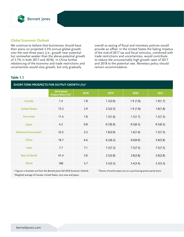

#### **Global Economic Outlook**

We continue to believe that businesses should base their plans on projected 3.3% annual global growth over the next three years (i.e., growth near potential but somewhat weaker than the above-potential growth of 3.7% in both 2017 and 2018). In China further rebalancing of the economy and trade restrictions and uncertainties would slow growth, but only gradually

overall as easing of fiscal and monetary policies would provide an offset. In the United States the fading impetus of the end-of-2017 tax and fiscal stimulus, combined with trade restrictions and uncertainties, would contribute to reduce the unsustainably high growth rates of 2017 and 2018 to the potential rate. Monetary policy should remain accommodative.

#### **Table 1.1**

| SHORT-TERM PROSPECTS FOR OUTPUT GROWTH (%)* |                                                    |      |          |          |          |  |  |
|---------------------------------------------|----------------------------------------------------|------|----------|----------|----------|--|--|
|                                             | <b>2018 World</b><br>Output Share (%) <sup>2</sup> | 2018 | 2019     | 2020     | 2021     |  |  |
| Canada                                      | 1.4                                                | 1.8  | 1.3(2.0) | 1.9(1.8) | 1.9(1.7) |  |  |
| <b>United States</b>                        | 15.2                                               | 2.9  | 2.5(2.5) | 1.9(1.8) | 1.8(1.8) |  |  |
| <b>Euro Area</b>                            | 11.4                                               | 1.8  | 1.3(1.6) | 1.5(1.7) | 1.5(1.5) |  |  |
| Japan                                       | 4.2                                                | 0.8  | 0.7(0.9) | 0.5(0.3) | 0.5(0.5) |  |  |
| Advanced economies <sup>1</sup>             | 32.2                                               | 2.2  | 1.8(2.0) | 1.6(1.6) | 1.5(1.5) |  |  |
| China                                       | 18.7                                               | 6.6  | 6.2(6.2) | 6.0(6.0) | 5.8(5.8) |  |  |
| India                                       | 7.7                                                | 7.1  | 7.3(7.5) | 7.5(7.5) | 7.5(7.5) |  |  |
| <b>Rest of World</b>                        | 41.4                                               | 3.0  | 2.5(2.8) | 2.8(2.8) | 2.8(2.8) |  |  |
| World                                       | 100                                                | 3.7  | 3.3(3.5) | 3.4(3.4) | 3.3(3.3) |  |  |

\* Figures in brackets are from the *Bennett Jones Fall 2018 Economic Outlook*. 2

 $2$  Shares of world output are on a purchasing-power-parity basis.

1 Weighted average of Canada, United States, euro area and Japan.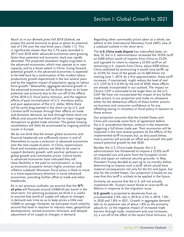Much as in our *Bennett Jones Fall 2018 Outlook*, we project the world economy to grow at about its potential rate of 3.3% over the next three years (Table 1.1). This is significantly slower than the 3.7% pace recorded in 2017 and 2018 when advanced economies were growing faster than potential and economic slack was rapidly absorbed. The projected slowdown largely originates in the advanced economies, which now operate at or near capacity, and to a lesser extent in China. Going forward, potential growth in the advanced economies is expected to be held back by a continuation of the modest labour productivity growth experienced in the last several years and by the negative impact of population aging on labour force growth.1 Meanwhile, aggregate demand growth in the advanced economies will be driven down to its lower potential rate primarily due to the run-off of the effects of the 2018 U.S. fiscal policy stimulus, and the negative effects of past normalization of U.S. monetary policy, and past appreciation of the U.S. dollar. While there will be some drag exerted in the short run by U.S. and Chinese tariff increases through their effects on trade and domestic demand, we look through these short-run effects and assume that there will be no major ongoing disruptions to global trade volumes. The global slowing nevertheless will likely be accentuated by ongoing political issues in Europe.

We do not think that the known global economic and financial headwinds are sufficiently severe in and of themselves to cause a recession in advanced economies over the next couple of years. In China, expansionary fiscal and monetary policies are likely to be used to support domestic growth, with positive spillovers on global growth and commodity prices. Central banks in advanced economies have indicated they will show flexibility in the path to normalization, as long as economic prospects remain highly uncertain and inflation subdued. Moreover, fiscal policy is likely to move in a more expansionary direction in some advanced economies, providing further offset to trade and other headwinds.

As in our previous outlooks, we assume that the **WTI oil price** will fluctuate around US\$60-65 per barrel in the short term. For planning purposes we think it is useful to assume that world oil supply will adjust to changes in demand over time so as to keep prices a little over US\$60 on average. However, we anticipate much volatility around that level in reaction to industry news, geopolitical developments, revised economic forecasts, and delayed adjustment of oil supply to changes in demand.

Regarding other commodity prices taken as a whole, we adhere to the International Monetary Fund (IMF) view of a subdued outlook in the short term.

The **U.S.-China trade dispute** has intensified lately: on May 10, the U.S. administration increased the 10.0% tariff on \$200 billion worth of imports from China to 25.0% and signaled its intent to impose a 25.0% tariff on all remaining U.S. imports from China, about \$300 billion. China retaliated by announcing it would raise tariffs up to 25.0% for most of the goods on its \$60-billion list starting June 1, 2019. As a first approximation, these tariff increases, if maintained, might reduce the level of real U.S. GDP by 0.3–0.4% by the end of 2020; these effects are already incorporated in our outlook. The impact on China's GDP is estimated to be larger than on the U.S. GDP. We have not incorporated the impact of any further trade actions in our projection and make no allowance either for the deleterious effects of these further actions on business and consumer confidence or for any offsetting easing in monetary or fiscal policy in reaction to these actions.

Our projection assumes that the United States and China will conclude some form of agreement before the U.S. presidential election, without in the meantime triggering a full-blown trade war. Their economies will be impacted in the next several quarters by the effects of the implemented tariff increases but, as discussed below, macro policies will provide an offset and smooth the path toward potential growth by late 2020.

Besides the U.S.-China trade dispute, the U.S. administration has threatened to impose a 25.0% tariff on imported cars and parts from the European Union (EU) and Japan on national security grounds. In May, President Trump decided to wait up to six months before determining to impose such a tariff, which would have material consequences not only for the EU and Japan, but also for the United States. Our projection is based on our view that this tariff is unlikely to be applied in the future.

Similarly, we assume that the U.S. will not actually implement Mr. Trump's recent threat to raise tariffs on Mexico in response to the migration issue.

**U.S. growth** is projected to decelerate from an unsustainable 2.9% rate in 2018 to 2.5% in 2019, 1.9% in 2020 and 1.8% in 2021. Growth in aggregate demand falls to its potential rate of about 1.8% as the economy adjusts to: (i) the negative impact of increased trade barriers through trade, investment and cost increases; (ii) a run-off of the effect of the recent fiscal stimulus; (iii)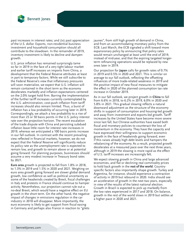

past increases in interest rates; and (iv) past appreciation of the U.S. dollar. Exports, non-residential business investment and household consumption should all contribute to the slowdown. In the remainder of 2019, inventory investment is likely to decline and dampen growth.

U.S. price inflation has remained surprisingly tame so far in 2019 in the face of a very tight labour market and earlier tariff increases on imports from China, a development that the Federal Reserve attributes at least in part to temporary factors. While we still subscribe to the Federal Reserve's view that inflationary pressures will soon materialize, we expect that U.S. inflation will remain contained in the short term as the economy decelerates markedly and inflation expectations centered on the 2.0% target hold firm. Barring the implementation of the further tariff increases currently contemplated by the U.S. administration, cost-push inflation from tariff increases should also remain limited. Thus, a burst of inflation has a low probability of occurring later in 2019. Correspondingly, we attach a low probability to a rise of more than 25 or 50 basis points in the U.S. policy interest rate over the projection horizon. The recent escalation of the trade dispute with China and persisting subdued inflation leave little room for interest rate increases in 2019, whereas we anticipated a 100 basis points increase in our fall outlook. In contrast with the recent prevailing view reflected in financial markets, however, we do not expect that the Federal Reserve will significantly reduce its policy rate as the unemployment rate is expected to remain low, and growth to remain above or at potential going forward. For planning purposes, businesses should assume a very modest increase in Treasury bond rates by 2021.

**Euro area** growth is projected to fall from 1.8% in 2018, to 1.3% in 2019 and 1.5% in 2020 and 2021. Weighing on euro area growth going forward are slower global demand growth, low confidence as well as political uncertainty as some of the headwinds created by Brexit, fiscal challenges in Italy and protests in France should continue to hamper activity. Nevertheless, our projection cannot rule out a no-deal Brexit, which would have a negative effect on EU growth in the short term. On the other hand, the negative impact of changes in emissions regulation in the car industry in 2018 will disappear. More importantly, the euro economy is likely to get support from fiscal easing in Germany and perhaps also France in reaction to "gilets

jaunes", from still high growth of demand in China, and from an accommodating monetary policy from the ECB. Last March, the ECB signaled a shift toward more expansionary policy by announcing that policy rates would remain unchanged at least until the end of 2019, instead of mid-year, and that the expiring targeted longerterm refinancing operations would be replaced by new ones later in 2019.

Our projection for **Japan** calls for growth rates of 0.7% in 2019 and 0.5% in 2020 and 2021. This is similar on average to our fall outlook, reflecting the offsetting influences of more trade-related weakness in 2019 and the positive impact of new fiscal measures to mitigate the effect in 2020 of the planned consumption tax rate increase in October 2019.

As in our fall outlook, we project growth in **China** to fall from 6.6% in 2018, to 6.2% in 2019, 6.0% in 2020 and 5.8% in 2021. This gradual slowing reflects a natural downward adjustment as the structure of the economy shifts in support of consumption and housing-led growth and away from investment and exports-led growth. Tariff increases by the United States have become more severe since last fall, but Chinese authorities have eased both fiscal and monetary policies to counteract the loss of momentum in the economy. They have the capacity and have expressed their willingness to support economic growth in the face of headwinds going forward, even if this raises already high debt levels and hampers the rebalancing of the economy. As a result, projected growth decelerates at a measured pace over the next three years, although in 2019 the slowing is more rapid as the effect of U.S. tariff increases are increasingly felt.

We expect slowing growth in China and large advanced economies, and flat or declining real commodity prices to hold back growth in the **rest of the world**. Countryspecific factors also importantly shape growth. Turkey and Argentina, for instance, should experience a contraction of activity in 2019 but rebound in 2020. India should see an acceleration of growth in the next two years, especially in view of the results of the latest national election. Growth in Brazil is expected to pick up markedly from the low rates experienced in 2017 and 2018. On balance, growth in the rest of the world slows in 2019 but settles at a higher pace in 2020 and 2021.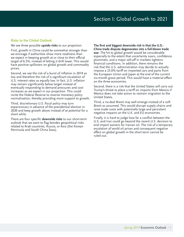#### **Risks to the Global Outlook**

We see three possible **upside risks** to our projection.

First, growth in China could be somewhat stronger than we envisage if authorities show more readiness than we expect in keeping growth at or close to their official target of 6.5%, instead of letting it drift lower. This would have positive spillovers on global growth and commodity prices.

Second, we see the risk of a burst of inflation in 2019 as low and therefore the risk of a significant escalation of U.S. interest rates as equally low. In fact, U.S. inflation may remain significantly below target instead of eventually responding to demand pressures and cost increases as we expect in our projection. This could incite the Federal Reserve to reverse monetary policy normalization, thereby providing more support to growth.

Third, discretionary U.S. fiscal policy may turn expansionary in advance of the presidential election in 2020 and keep growth above instead of at potential for a short while.

There are four specific **downside risks** to our short-term outlook that we want to flag besides geopolitical risks related to Arab countries, Russia, or Asia (the Korean Peninsula and South China Seas).

**The first and biggest downside risk is that the U.S.- China trade dispute degenerates into a full-blown trade war**. The hit to global growth would be considerable especially to the extent that uncertainty soars, confidence plummets, and a major sell-off in markets tightens financial conditions. In addition, there remains the risk that the U.S. administration may decide to actually impose a 25.0% tariff on imported cars and parts from the European Union and Japan at the end of the current six-month grace period. This would have a material effect on the three economies.

Second, there is a risk that the United States will carry out Trump's threat to place a tariff on imports from Mexico if Mexico does not take action to restrain migration to the United States.

Third, a no-deal Brexit may well emerge instead of a soft Brexit as assumed. This would disrupt supply chains and raise trade costs with potentially large and persistent negative impacts on the U.K. and EU economies.

Finally, it is hard to judge how far a conflict between the U.S. and Iran could go beyond the recent U.S. decision to end import waivers for Iranian oil. The risk of a temporary escalation of world oil prices and consequent negative effect on global growth in the short term cannot be ruled out.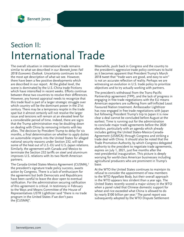

## Section II: International Trade

The overall situation in international trade remains similar to what we described in our *Bennett Jones Fall 2018 Economic Outlook*. Uncertainty continues to be the most apt description of what we see. However, there have been a few positive developments which are described in our report. At the global level, the scene is dominated by the U.S.-China trade frictions which have intensified in recent weeks. Efforts continue between these two countries to resolve their differences. However, any honest appraisal needs to recognize that this trade feud is part of a larger strategic struggle over which country will be the dominant power in the 21st century. There may be a temporary respite in the trade spat but it almost certainly will not resolve the larger issue and tensions will remain at an elevated level for a considerable period of time. Indeed, there are signs that the Trump administration may be doubling down on dealing with China by removing irritants with key allies. The decision by President Trump to delay for six months, a final determination on whether to apply duties on automobile imports into the United States for alleged national security reasons under Section 232, will take some of the heat out of U.S.-EU and U.S.-Japan relations. Similarly, the agreement with Canada and Mexico to terminate the Section 232 tariffs on steel and aluminum improves U.S. relations with its two North American partners.

The Canada-United States-Mexico Agreement (CUSMA), $2$ the president's signature trade policy success, awaits action by Congress. There is a lack of enthusiasm for the agreement but both Democrats and Republicans have been careful to leave the door open to eventual ratification. For the administration securing ratification of this agreement is critical. In testimony in February to the Ways and Means Committee of the House of Representatives USTR Lighthizer said "there is no trade program in the United States if we don't pass the [CUSMA]".

Meanwhile, push back in Congress and the country to the president's aggressive trade policy continues to build as it becomes apparent that President Trump's March 2018 tweet that "trade wars are good, and easy to win" is not an accurate reflection of reality. Perhaps we are witnessing an evolution in U.S. trade policy to prioritize objectives and to try actually working with partners.

The president's withdrawal from the Trans-Pacific Partnership agreement (TPP), and the lack of progress in engaging in free trade negotiations with the EU means American exporters are suffering from self-inflicted Least Favoured Nation treatment. Ambassador Lighthizer has now engaged in free trade negotiations with Japan but following President Trump's trip to Japan it is now clear a deal cannot be concluded before August at the earliest. Time is running out for the administration to conclude major trade agreements before the 2020 election, particularly with an agenda which already includes getting the United States-Mexico-Canada-Agreement (USMCA) through Congress and striking a trade deal with China. It should also be noted that the Trade Promotion Authority, by which Congress delegated authority to the president to negotiate trade agreements, expires on July 1, 2021, just five months after the next presidential inauguration. This picture is deeply worrying for world-class American businesses including agricultural producers who are prominent in Trump's base.

At the WTO the United States continues to maintain its refusal to consider the appointment of new members to the WTO Appellate Body, but their overall approach in the WTO appears less strident than a year ago. The United States recently scored a major victory in the WTO when a panel ruled that Chinese domestic support for wheat and rice exceeded what China is allowed to do by nearly  $$100$  billion per year. $^3$  The panel report was subsequently adopted by the WTO Dispute Settlement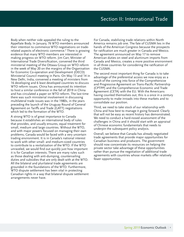Body when neither side appealed the ruling to the Appellate Body. In January, 76 WTO members announced their intention to commence WTO negotiations on traderelated aspects of electronic commerce.<sup>4</sup> There is growing evidence that many WTO members are interested in making progress on WTO reform. Jim Carr, Minister of International Trade Diversification, convened the third ministerial meeting of the Ottawa Group on WTO reform in the week of May 20 on the margins of the Organisation for Economic Co-operation and Development (OECD) Ministerial Council meeting in Paris. On May 13 and 14 in New Delhi, India, convened a meeting of ministers from 16 developing and 6 least developed countries to discuss WTO reform issues. China has announced its intention to host a similar conference in the fall of 2019 in China and has circulated a paper on WTO reform. The last time there was such ministerial involvement in discussing multilateral trade issues was in the 1980s, in the years preceding the launch of the Uruguay Round of General Agreement on Tariffs and Trade (GATT) negotiations which led to the formation of the WTO.

A strong WTO is of great importance to Canada because it establishes an international body of rules that provides, and usually ensures, equal treatment for small, medium and large countries. Without the WTO, and with major powers focused on managing their own problems, Canada would be faced with a very uncertain trading environment. It is in Canada's national interest to work with other small- and medium-sized countries to contribute to a revitalization of the WTO. If the WTO unraveled, we would find out quickly just how important it is for Canadian interests. There are many rules such as those dealing with anti-dumping, countervailing duties and subsidies that are only dealt with at the WTO. All the bilateral and plurilateral trade agreements are grounded in the foundations of the WTO. Furthermore, WTO dispute settlement has been vital in protecting Canadian rights in a way that bilateral dispute settlement arrangements never have.

For Canada, stabilizing trade relations within North America remains job one. The fate of CUSMA lies in the hands of the American Congress because the prospects for ratification are much greater in Canada and Mexico. The agreement announced on May 17 to remove American duties on steel and aluminum imports from Canada and Mexico, creates a more positive environment in all three countries for considering the ratification of the CUSMA.

The second most important thing for Canada is to take advantage of the preferential access we now enjoy as a result of the coming into force of the Comprehensive and Progressive Agreement on Trans-Pacific Partnership (CPTPP) and the Comprehensive Economic and Trade Agreement (CETA) with the EU. With the Americans having counted themselves out, this is a once in a century opportunity to make inroads into these markets and to consolidate our position.

Third, we need to take stock of our relationship with China and how best to manage it going forward. Clearly that will not be easy as recent history has demonstrated. We need to conduct a hard-nosed assessment of the challenges in China and it should start with an appraisal of Chinese economic fundamentals that needs to underpin the subsequent policy analysis.

Overall, we believe that Canada has already negotiated trade agreements that provide major opportunities for Canadian business and producers. The government should now concentrate its resources on helping the private sector take advantage of these opportunities rather than pursue the negotiation of additional trade agreements with countries whose markets offer relatively fewer opportunities.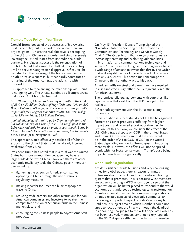

#### **Trump's Trade Policy in Year Three**

Donald Trump boasts of the successes of his America First trade policy but it is hard to see where there are any real gains—unless the real objective is decoupling of the U.S. and Chinese economies and simultaneously isolating the United States from its traditional trade partners. His biggest success is the renegotiation of the NAFTA, but that cannot be chalked up as a victory until he secures Congressional approval. Of course, he can also tout the tweaking of the trade agreement with South Korea as a success, but that hardly constitutes a remaking of the American trade relationship with the world.

His approach to rebalancing the relationship with China is not going well. The threats continue as Trump's tweets make clear. On May 5, he tweeted:

"For 10 months, China has been paying Tariffs to the USA *of 25% on 50 Billion Dollars of High Tech, and 10% on 200 Billion Dollars of other goods. These payments are partially responsible for our great economic results. The 10% will go up to 25% on Friday. 325 Billions Dollars....*

*....of additional goods sent to us by China remain untaxed,*  but will be shortly, at a rate of 25%. The Tariffs paid to the USA have had little impact on product cost, mostly borne by *China. The Trade Deal with China continues, but too slowly, as they attempt to renegotiate. No!"*

This approach would effectively penalize all of China's exports to the United States and has already incurred retaliation from China.

President Trump has noted that in a tariff war the United States has more ammunition because they have a large trade deficit with China. However, there are other economic retaliatory tools the Chinese government can use including:

- tightening the screws on American companies operating in China through the use of various regulatory measures;
- making it harder for American businesspeople to travel to China;
- reducing trade barriers and other restrictions for non-American companies and investors to weaken the competitive position of American firms in the Chinese market place; and
- encouraging the Chinese people to boycott American products.

On May 15, President Donald Trump signed the "Executive Order on Securing the Information and Communications Technology and Services Supply Chain".<sup>5</sup> The Order finds "that foreign adversaries are increasingly creating and exploiting vulnerabilities in information and communications technology and services." It authorizes U.S. government agencies to take a wide range of actions to thwart this threat. The Order makes it very difficult for Huawei to conduct business with any U.S. entity. This action may encourage the Chinese to think of other ways to hit back.

American tariffs on steel and aluminum have resulted in a self-inflicted injury rather than a rejuvenation of the American economy.

The promised bilateral agreements with countries like Japan after withdrawal from the TPP have yet to be realized.

A free trade agreement with the EU seems a long distance off.

If this situation is successful, do not tell the beleaguered farmers and other producers suffering from higher import costs and reduced export opportunities. In Section I of this outlook, we consider the effect of the U.S.-China trade dispute on GDP in the United States and China. Our estimates are that the effect would be in the order of 0.3 to 0.8% of GDP in the United States depending on how far Trump goes in imposing more tariffs. However, the effects will not be spread evenly with, for instance, farmers in Trump's base being impacted much more significantly.

#### **World Trade Organization**

Amidst significant trade tensions and very challenging times for global trade, there is reason for muted optimism about the WTO and the rules-based trading system that it promotes. This is because WTO members are actively pursuing a WTO reform agenda so that the organization will be better placed to respond to the world economy as it undergoes a technological transformation. Members have also agreed to commence negotiations on trade-related aspects of electronic commerce, an increasingly important aspect of today's economy but until now, a subject-area on which members could not agree to focus attention. Finally, although the deadlock in appointing new judges to the WTO Appellate Body has not been resolved, members continue to rely regularly on the WTO dispute settlement mechanism to resolve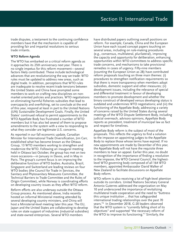trade disputes, a testament to the continuing confidence members have that the mechanism is capable of providing fair and impartial resolutions to serious trade irritants.

#### **WTO Reform Agenda**

The WTO has embarked on a critical reform agenda as it approaches its 25th anniversary next year. There is no single impetus for this reform movement—several factors likely contributed. These include technological advances that are revolutionizing the way we trade: WTO rules must be updated to address new areas, such as digital trade. In addition, perceptions that WTO rules are inadequate to resolve recent trade tensions between the United States and China have prompted some members to work on crafting new disciplines on nonmarket oriented policies and practices. WTO negotiations on eliminating harmful fisheries subsidies that lead to overcapacity and overfishing, set to conclude at the end of this year, respond at least in part to the United Nations (UN) Sustainable Development Goals. Finally, the United States' continued refusal to permit appointments to the WTO Appellate Body has frustrated a number of WTO members but it has also led several of them to propose amendments to the system with a view to responding to what they consider are legitimate U.S. concerns.

As reported in our fall economic update, Canadian Minister for International Trade Diversification, Jim Carr, established what has become known as the Ottawa Group, 13 WTO members working to strengthen and modernize the WTO. Following an inaugural meeting held in Ottawa last October, the group has met on two more occasions—in January in Davos, and in May in Paris. The group's current focus is on improving the deliberative function of WTO bodies. Australia, Brazil, Singapore and Switzerland are leading reviews on four WTO bodies (the Council for Trade in Services, the Sanitary and Phytosanitary Measures Committee, the Technical Barriers to Trade Committee and the Rules of Origin Committee), while Norway is coordinating efforts on developing country issues as they affect WTO reform.

Reform efforts are also underway outside the Ottawa Group process. As mentioned above, India recently hosted an informal Ministerial meeting attended by several developing country ministers, and China will host a Ministerial-level meeting later this year. The EU, Japan and the United States are collaborating to develop rules on state support of industries (industrial subsidies) and state-owned enterprises. Several WTO members

have distributed papers outlining overall positions on reform. For example, Canada, China and the European Union have each issued concept papers touching on several areas, including on rule-making procedures (e.g., consensus, multilateral, plurilateral), improving the capacity and opportunity for deliberation, enhancing opportunities within WTO committees to address specific trade concerns, and mechanisms to take provisional remedies in cases of urgency. Fifty-nine members (counting the European Union as 28) have contributed reform proposals touching on three main themes: (i) procedures to strengthen notification requirements so that there is more transparency when members adopt subsidies, domestic support and other measures; (ii) development issues, including the relevance of special and differential treatment in favour of developing members to promote development and whether the binary construct of developed versus developing status is outdated and undermines WTO negotiations; and (iii) the functioning of the Appellate Body, addressing a variety of concerns raised by the United States during several meetings of the WTO Dispute Settlement Body, including judicial overreach, advisory opinions, Appellate Body reports as precedent, treatment of municipal law as fact and respect for timelines.

Appellate Body reform is the subject of most of the proposals. This reflects the urgency to find a solution to the impasse on appointing judges to the Appellate Body to replace those whose terms have expired. If no new appointments are made by December of this year, the Appellate Body will not have the requisite three members to hear an appeal. Earlier this year, no doubt in recognition of the importance of finding a resolution to the impasse, the WTO General Council, the highestlevel WTO governing body composed of all 164 WTO members, appointed Ambassador David Walker of New Zealand to facilitate discussions on Appellate Body reform.

WTO reform is also receiving a lot of high-level attention outside its corridors. United Nations Secretary General Antonio Guterres addressed the organization on May 10 and underscored the importance of revitalizing multilateral trade cooperation and the need to "buttress this unique institution … that has safeguarded international trading relationships over the past 70 years."<sup>6</sup> In December 2018, G-20 leaders observed that the WTO system is "currently falling short of its objectives" and supported "the necessary reform of the WTO to improve its functioning."7 Similarly, the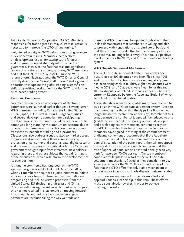

Asia-Pacific Economic Cooperation (APEC) Ministers responsible for trade agreed in May 2019 that "action is necessary to improve [the WTO's] functioning."8

Heightened activity on WTO reform does not guarantee quick or certain results. Members' perspectives on development issues, for example, are far apart, and progress on Appellate Body reform is far from guaranteed. However, the fact that real and significant reform discussions are underway among WTO members and that the UN, the G20 and APEC support WTO reform efforts illustrates what the WTO Director-General recently described as "a real shift in tone" and a genuine opportunity to update the global trading system.9 This shift is a positive development for the WTO, and for the rules-based trading system

#### **Electronic Commerce**

Negotiations on trade-related aspects of electronic commerce were launched earlier this year. Seventy-seven WTO members, including Canada, the United States, China, Japan, EU, Australia, Brazil, Singapore, Russia and several developing countries, are participating in the discussions. Issues raised include whether or not to continue a long-standing moratorium on customs duties on electronic transmissions, facilitation of e-commerce transactions, paperless trading and e-payments. Discussions also address issues related to market access for goods and services, data flows across borders, protection of consumer and personal data, digital security and the need to address the digital divide. The Canadian government sought input from interested stakeholders regarding these and other subjects that could form part of the discussions, which will inform the development of its own position.<sup>10</sup>

Although e-commerce has long been on the WTO agenda, progress was blocked until December 2017, when 71 members announced a joint initiative to initiate exploratory work toward future negotiations. Talks are progressing and include written proposals from the United States, EU (including draft text) and China. Positions differ in significant ways, but unlike in the past, this has not resulted in a stalemate on moving forward. This is significant, not only because technological advances are revolutionizing the way we trade and

therefore WTO rules must be updated to deal with them. It also demonstrates that members are willing and able to proceed with negotiations on a plurilateral basis and that the consensus model that hampered many efforts in the past may no longer hold sway. This, too, is a positive development for the WTO, and for the rules-based trading system.

#### **WTO Dispute Settlement Mechanism**

The WTO dispute settlement system has always been busy. Close to 600 disputes have been filed since 1995 and the number of active disputes ongoing at any time has been rising each year. Thirty-eight new disputes were filed in 2018, and 10 appeals were filed. So far this year, 10 new disputes were filed, as were 2 appeals. There are currently 12 appeals before the Appellate Body, 3 of which were filed by the United States.

These statistics seem to belie what many have referred to as a crisis in the WTO dispute settlement system. Despite the increasing likelihood that the Appellate Body will no longer be able to receive new appeals by December of this year, because the number of judges will be reduced to one (and three are needed to sit on any appeal), developed and developing country members continue to rely on the WTO to resolve their trade disputes. In fact, some members have agreed in writing at the commencement of dispute settlement procedures that if the Appellate Body is composed of less than three members on the date of circulation of the panel report, they will not appeal the report. This is especially significant given that the rate of appeal of panel reports has traditionally been very high (on average, 70.0% per year). We see members' continued willingness to resort to the WTO dispute settlement mechanism, flawed as they consider it to be, as very positive for the WTO. It is also indicative of the fact that the WTO offers the only viable mechanism to resolve major international trade disputes between states.

In sum, we are encouraged by the reform effort and applaud Canada's leadership in this vein. These efforts must be sustained, however, in order to achieve meaningful results.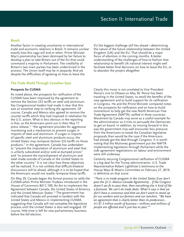#### **Brexit**

Another factor in creating uncertainty in international trade and economic relations is Brexit. It remains unclear exactly how this saga will end or when. Prime Minister May's premiership has been destroyed by her failure to develop a plan to take Britain out of the EU that could command a majority in Parliament. The credibility of Britain's two main parties has been undermined in the process. The Union itself may be in jeopardy. And yet despite the difficulties of agreeing on how to leave the

#### **The Trade World Through Canadian Eyes**

#### **Prospects for CUSMA**

As noted above, the prospects for ratification of the CUSMA have been improved by the agreement to remove the Section 232 tariffs on steel and aluminum. Key Congressional leaders had made it clear that this was an essential step to ratifying the agreement. Of course, Canada and Mexico also agreed to remove the counter tariffs which they had imposed in retaliation for the U.S. action. What is less obvious in the reporting is that, as the Americans point out in their May 17 press release,<sup>11</sup> "the agreement provides for aggressive monitoring and a mechanism to prevent surges in imports of steel and aluminum. If surges in imports of specific steel and aluminum products occur, the United States may reimpose Section 232 tariffs on those products." In the agreement, Canada has undertaken to "prevent the importation of aluminum and steel that is unfairly subsidized and/or sold at dumped prices" and "to prevent the transshipment of aluminum and steel made outside of Canada or the United States to the other country." It is not clear how these objectives will be realized. It is not unlikely that difficult bilateral discussions still lie ahead, although it is to be hoped that the Americans would not readily reimpose these tariffs.

On May 29, Canada began the formal process to ratify the CUSMA when Prime Minister Trudeau introduced in the House of Commons Bill C-100, An Act to implement the Agreement between Canada, the United States of America and the United Mexican States.<sup>12</sup> The government has indicated that Canada will proceed in tandem with the United States and Mexico in implementing CUSMA, suggesting that Canada will not complete the legislative process until the United States is also well engaged. Of course, little time is left for new parliamentary business before the fall election.

EU the biggest challenge still lies ahead—determining the nature of the future relationship between the United Kingdom (UK) and the EU. That should be a major focus of attention in the coming months. A better understanding of the challenges of how to fashion that relationship to benefit UK national interest might well facilitate better final decisions on how to leave the EU, or to abandon the project altogether.

Clearly this move is not unrelated to Vice President Pence's visit to Ottawa on May 30. Pence has been traveling in the United States, to extoll the benefits of the new agreement and to build support for its ratification in Congress. He and the Prime Minister compared notes on the prospects for ratification and on how to build momentum to help get the new North American Free Trade Agreement (NAFTA) ratified in three countries. Movement by Canada may serve as a useful example for the administration as it tries to persuade the Democrats to get on board. In addition, by moving forward in this way the government may well encounter less pressure from the Americans to tweak the Canadian legislative proposals than would be the case if the Americans had already got the deal through Congress. It is worth noting that the Mulroney government put the NAFTA implementing legislation through Parliament while the side agreement negotiations on labour and environment were still underway.

Certainly securing Congressional ratification of CUSMA is a big deal for the Trump administration. U.S. Trade Representative Robert Lighthizer's testimony to the House Ways & Means Committee on February 27, 2019, is definitive on that score:

"There is no trade program in the United States if we don't pass the [U.S.-Mexico-Canada Agreement]... If the Congress doesn't see fit to pass that, then everything else is kind of like a footnote. We can't do trade deals. What it says is that we don't have a consensus and that we don't want to stand up for our workers and our farmers and our ranchers. "We have *an agreement that is clearly better than its predecessor…*  It's \$1.3 trillion worth of business—millions and millions of people are affected and it just has to pass."<sup>13</sup>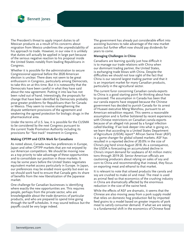

The President's threat to apply import duties to all Mexican products as a result of his concerns about migration from Mexico underlines the unpredictability of his approach to trade. However, in our view it is unlikely that duties will actually be applied in large part because of the serious negative reaction to his proposal inside the United States notably from leading Republicans in Congress.

Whether it is possible for the administration to secure Congressional approval before the 2020 American election is unclear. There does not seem to be great enthusiasm in Congress, particularly among Democrats, to take this on at this time. But it is noteworthy that the Democrats have been careful in what they have said about the new agreement. Putting it into law has not been ruled out of hand. Interestingly, the proposals for change that have been identified by Democrats probably pose greater problems for Republicans than for Canada or Mexico. They seem to involve strengthening the dispute settlement provisions of the agreement and weakening the agreed protection for biologic drugs in the pharmaceutical area.

Under the terms of U.S. law, it is possible for the CUSMA to be considered by the next Congress pursuant to the current Trade Promotion Authority including its provisions for "fast track" treatment in Congress.

#### **Making CPTPP and CETA Work for Canadians**

As noted above, Canada now has preferences in Europe, Japan and other CPTPP markets that are not enjoyed by our American competitors. We should be moving now as a top priority to take advantage of these opportunities and to consolidate our position in those markets. It may be some years before the United States negotiates equivalent market access particularly in Europe. In Japan, our preferences may be eroded more quickly but even so we should work hard to ensure that Canada gets its share of benefits from the new liberalization of the Japanese market.

One challenge for Canadian businesses is identifying where exactly the new opportunities are. This requires people, perhaps from the private sector, who are knowledgeable about the trade dynamics of particular products, and who are prepared to spend time going through the tariff schedules. It may sound tedious but the payoffs could be very large indeed.

The government has already put considerable effort into assisting business to take advantage of the new market access but further effort now should pay dividends for years to come.

#### **Managing Challenges in China**

Canadians are learning quickly just how difficult it is to manage our trade relations with China when our dominant trading partner, the United States, is exchanging trade blows with China. Despite the difficulties we should not lose sight of the fact that China is our second largest trading partner and that it is an important market for many Canadian products, particularly in the agricultural sector.

The current furor concerning Canadian canola exports to China is a good starting point for thinking about how to proceed. The assumption in Canada has been that our canola exports have stopped because the Chinese government has decided to punish Canada for its arrest of Huawei executive Meng Wanzhou, pursuant to an American extradition request. This seems a reasonable assumption and is further bolstered by recent experience with Chinese restrictions on Canadian canola exports because of an alleged risk posed by a fungal infection called blackleg. If we look deeper into what is going on, we learn that according to a United States Department of Agriculture (USDA) report<sup>14</sup> African Swine Fever (ASF) is a game changer for global oilseed markets. ASF has resulted in a reported decline of 20.0% in the size of China's pig herd since August 2018. As a consequence, the USDA is forecasting an accumulated decline in China's import demand for soybeans of 42 million metric tons through 2019-20. Senior American officials are cautioning producers about relying on sales of soy and corn to China and recommending that instead, they focus on exporting meat and ethanol to that market.

It is relevant to note that oilseed products like canola and soy are crushed to make oil and meal. The meal is used as animal feed so that economics of the crushing industry in China are dramatically affected by the enormous reduction in the size of the swine herd.

While the effects of ASF are dramatic, it seems that the Chinese are also moving away from a pork supply model that relies on domestic hog production fed by imported feed grains to a model based on greater imports of pork meat to satisfy consumer demand. If what we are seeing is a fundamental shift in the economics of Chinese food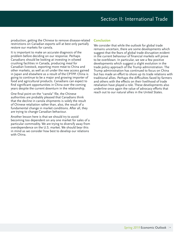production, getting the Chinese to remove disease-related restrictions on Canadian exports will at best only partially restore our markets for canola.

It is important to make an accurate diagnosis of the problem before deciding on our response. Perhaps Canadians should be looking at investing in oilseed crushing facilities in Canada, producing meal for Canadian livestock, exporting more meat to China and other markets, as well as oil under the new access gained in Japan and elsewhere as a result of the CPTPP. China is going to continue to be a major and growing importer of food and agricultural products. Canadians can expect to find significant opportunities in China over the coming years despite the current downturn in the relationship.

One final point on the "canola" file, the Chinese authorities are probably pleased that Canadians think that the decline in canola shipments is solely the result of Chinese retaliation rather than, also, the result of a fundamental change in market conditions. After all, they are trying to change Canadian behaviour.

Another lesson here is that we should try to avoid becoming too dependent on any one market for sales of a particular commodity. We are trying to diversify away from overdependence on the U.S. market. We should bear this in mind as we consider how best to develop our relations with China.

#### **Conclusion**

We consider that while the outlook for global trade remains uncertain, there are some developments which suggest that the fears of global trade disruption evident in the current behaviour of financial markets will prove to be overblown. In particular, we see a few positive developments which suggest a slight evolution in the trade policy approach of the Trump administration. The Trump administration has continued to focus on China but has made an effort to shore up its trade relations with traditional allies. Perhaps the difficulties faced by farmers and others with the effects on their livelihood of trade retaliation have played a role. These developments also underline once again the value of advocacy efforts that reach out to our natural allies in the United States.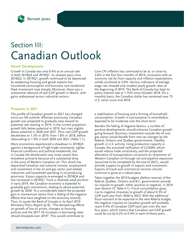

## Section III: Canadian Outlook

#### **Recent Developments**

Growth in Canada was only 0.4% at an annual rate in both 2018Q4 and 2019Q1, its slowest pace since 2016Q2. In 2019Q1, growth continued to be depressed by weakening housing and goods exports but household consumption and business non-residential fixed investment rose sharply. Moreover, there was a substantial rebound of real GDP growth in March, with gains widespread across industrial sectors.

#### **Prospects to 2021**

The profile of Canadian growth to 2021 has changed since our fall outlook. Whereas previously, Canadian growth was projected to gradually slow toward its potential rate starting in 2019, in the current projection growth falls below potential in 2019, but rises slightly above potential in 2020 and 2021. Thus real GDP growth decelerates to 1.3% in 2019, from 1.8% in 2018, before rebounding to 1.9% in both 2020 and 2021 (Table 1.1).

Many economies experienced a slowdown in 2018Q4 against a background of high trade uncertainty, tighter financial conditions and political headwinds, but in Canada the deceleration was more severe than elsewhere primarily because of a substantial drop in the price of Western Canadian oil. This shock has depressed Canadian real national income, employment and investment in the oil and gas sector and related industries and household spending in oil-producing provinces. Excess capacity re-emerged in 2018Q4 and has increased in 2019Q1. From a relatively weak position in early 2019, the Canadian economy is expected to gradually gain momentum, leading to above-potential growth by 2020. To a considerable extent the projected gain in momentum stems from a fading of the negative effects that have weighted on the economy recently. Thus, to quote the Bank of Canada in its April 2019 Monetary Policy Report (p.9), "The dampening effects on growth of low oil prices, changes to housing policies and the 2017-18 increases in borrowing rates should dissipate over 2019". This would contribute to

Core CPI inflation has continued to be at, or close to, 2.0% in the first four months of 2019, consistent with an economy not far from capacity and inflation expectations solidly anchored at 2.0%. Various indicators of average wage rate showed only modest yearly growth rates at the beginning of 2019. The Bank of Canada has kept its policy interest rate at 1.75% since October 2018. On a monthly basis, the Canadian dollar has remained near 75 U.S. cents since mid-2018.

a stabilization of housing and a firming of household consumption. Growth in consumption is nevertheless expected to be moderate over the short term.

Besides the fading of negative factors, a number of positive developments should enhance Canadian growth going forward. Business investment outside the oil and gas sector would benefit from new tax changes by the federal, Ontario and Québec governments. Healthy growth in U.S. activity, rising production capacity in Canada, the assumed ratification of CUSMA, which would reduce trade uncertainty, and the projected alleviation of transportation constraint on shipments of Western Canadian oil through rail and pipeline expansion (assumed to be completed by the end of 2021), would provide support to growth in exports and investment. Exports of travel and commercial services should continue to grow at a robust pace.

Taken together the 2019 budgets (before reserve) of the federal, Québec, Ontario and B.C. governments provide no impulse to growth, either positive or negative, in 2019 (see Section IV, Table 4.1). Fiscal consolidation gives rise to negative impulses to growth of about 0.3% of GDP each year from 2020 to 2023. With the additional fiscal restraint to be expected in the next Alberta budget, the negative impulse to Canadian growth will probably reach 0.4% of Canadian GDP each year over the next four years, which means that Canadian real GDP growth could be cut by 0.2% to 0.4% in each of those years.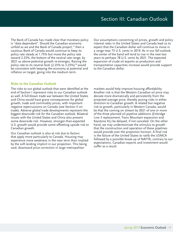The Bank of Canada has made clear that monetary policy is "data dependent". Should the Canadian economy unfold as we and the Bank of Canada project,<sup>15</sup> then a cautious Bank of Canada would continue to keep its policy rate steady at 1.75% but move the policy rate toward 2.25%, the bottom of the neutral rate range, by 2021 as above-potential growth re-emerges. Raising the policy rate to its neutral level (2.25% to  $3.25\%$ )<sup>16</sup> would be consistent with keeping the economy at potential and inflation on target, going into the medium term.

#### **Risks to the Canadian Outlook**

The risks to our global outlook that were identified at the end of Section I represent risks to our Canadian outlook as well. A full-blown trade war between the United States and China would have grave consequences for global growth, trade and commodity prices, with important negative repercussions on Canada (see Section II on trade). Adverse global trade developments represent the biggest downside risk for the Canadian outlook. Bilateral issues with the United States and China also present some downside risk. However, stronger-than-expected U.S. growth would provide some offsetting upside risk to Canadian growth.

Our Canadian outlook is also at risk due to factors that apply more particularly to Canada. Housing may experience more weakness in the near term than implied by the soft landing implicit in our projection. This being said, downward price correction in large metropolitan

Our assumptions concerning oil prices, growth and policy interest rates in the United States and Canada lead us to expect that the Canadian dollar will continue to move in a range near 75 U.S. cents in 2019. As in our fall outlook, the center of the band will tend to rise in the next two years to perhaps 78 U.S. cents by 2021. The expected expansion of crude oil exports as production and transportation capacities increase would provide support to the Canadian dollar.

markets would help improve housing affordability. Another risk is that the Western Canadian oil price may deviate more dramatically and persistently from the projected average price, thereby posing risks in either direction to Canadian growth. A related but negative risk to growth, particularly in Western Canada, would be that the coming on stream by 2021 of one or more of the three planned oil pipeline additions (Enbridge Line 3 replacement, Trans Mountain expansion and Keystone XL) be delayed, if not canceled. On the other hand, we may underestimate the stimulus to growth that the construction and operation of these pipelines would provide over the projection horizon. A final risk is the failure of the United States to ratify the USMCA followed by a possible break-up of NAFTA, contrary to our expectations. Canadian exports and investment would suffer as a result.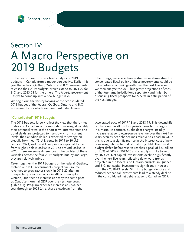

# Section IV: A Macro Perspective on 2019 Budgets

In this section we provide a brief analysis of 2019 budgets in Canada from a macro perspective. Earlier this year the federal, Québec, Ontario and B.C. governments released their 2019 budgets, which extend to 2021-22 for B.C. and 2023-24 for the others. The Alberta government has yet to come up with a new budget in 2019.

We begin our analysis by looking at the "consolidated" 2019 budget of the federal, Québec, Ontario and B.C. governments, for which we have hard data. Among

other things, we assess how restrictive or stimulative the consolidated fiscal policy of these governments could be to Canadian economic growth over the next five years. We then analyze the 2019 budgetary projections of each of the four large jurisdictions separately and finish by discussing fiscal prospects for Alberta in anticipation of the next budget.

#### **"Consolidated" 2019 Budgets**

The 2019 budgets largely reflect the view that the United States and Canadian economies start growing at roughly their potential rates in the short term. Interest rates and bond yields are projected to rise slowly from current levels; the Canadian dollar is expected to strengthen steadily from near 75 U.S. cents in 2019 to 80 U.S. cents in 2023; and the WTI oil price is expected to rise from slightly below US\$60 in 2019 to around US\$65 in 2023. There are some differences in the profiles of these variables across the four 2019 budgets but, by and large, they are relatively minor.

Taken together, the 2019 budgets of the federal, Québec, Ontario and B.C. governments project own-source revenues to grow rather slowly in 2019-20 after an unexpectedly strong advance in 2018-19 (except in Ontario) and then to increase at nearly the same pace as Canadian nominal GDP over the next four years (Table 4.1). Program expenses increase at 2.5% per year through to 2023-24, a sharp slowdown from the

accelerated pace of 2017-18 and 2018-19. This downshift can be found in all the four jurisdictions but is largest in Ontario. In contrast, public debt charges steadily increase relative to own-source revenue over the next five years even as net debt declines relative to Canadian GDP: this is due to a significant rise in the interest cost of new borrowing relative to that of maturing debt. The overall budget deficit before reserve reaches a peak of \$23 billion or 1.0% of GDP in 2019-20 and steadily shrinks to zero by 2023-24. Net capital investments decline significantly over the next five years reflecting downward trends projected in the federal and Ontario budgets; in Québec and B.C. net capital investments significantly increase from their 2018-19 levels. Shrinking budget deficits and reduced net capital investments lead to a steady decline in the consolidated net debt relative to Canadian GDP.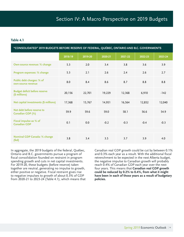#### **Table 4.1**

| "CONSOLIDATED" 2019 BUDGETS BEFORE RESERVE OF FEDERAL, QUÉBEC, ONTARIO AND B.C. GOVERNMENTS |         |         |         |         |         |         |
|---------------------------------------------------------------------------------------------|---------|---------|---------|---------|---------|---------|
|                                                                                             | 2018-19 | 2019-20 | 2020-21 | 2021-22 | 2022-23 | 2023-24 |
| Own-source revenue: % change                                                                | 5.3     | 2.0     | 3.4     | 3.8     | 3.6     | 3.9     |
| Program expenses: % change                                                                  | 5.3     | 2.1     | 2.6     | 2.4     | 2.6     | 2.7     |
| Public debt charges: % of<br>own-source revenue                                             | 8.0     | 8.4     | 8.6     | 8.7     | 8.8     | 8.8     |
| <b>Budget deficit before reserve</b><br>$(S$ millions)                                      | 20,156  | 22,701  | 19,229  | 12,368  | 6,910   | $-142$  |
| Net capital investments (\$ millions)                                                       | 17,368  | 15,767  | 14,951  | 16,564  | 12,852  | 12,040  |
| Net debt before reserve to<br>Canadian GDP (%)                                              | 59.9    | 59.6    | 59.0    | 58.1    | 56.6    | 54.9    |
| Fiscal impulse as % of<br><b>Canadian GDP</b>                                               | 0.1     | 0.0     | $-0.2$  | $-0.3$  | $-0.4$  | $-0.3$  |
|                                                                                             |         |         |         |         |         |         |
| Nominal GDP Canada: % change<br>(fed)                                                       | 3.8     | 3.4     | 3.5     | 3.7     | 3.9     | 4.0     |

In aggregate, the 2019 budgets of the federal, Québec, Ontario and B.C. governments pursue a program of fiscal consolidation founded on restraint in program spending growth and cuts in net capital investments. For 2019-20, these budgets (before reserve) taken together are neutral, generating no impulse to growth, either positive or negative. Fiscal restraint gives rise to negative impulses to growth of about 0.3% of GDP from 2020-21 to 2023-24 (Table 4.1), which means that Canadian real GDP growth could be cut by between 0.1% and 0.3% each year as a result. With the additional fiscal retrenchment to be expected in the next Alberta budget, the negative impulse to Canadian growth will probably reach 0.4% of Canadian GDP each year over the next four years. This means that **Canadian real GDP growth could be reduced by 0.2% to 0.4%, from what it might have been in each of those years as a result of budgetary policies.**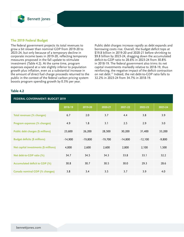

#### **The 2019 Federal Budget**

The federal government projects its total revenues to grow a bit slower than nominal GDP from 2019-20 to 2023-24, but only because of a temporary decline in corporate income taxes in 2019-20, reflecting temporary measures proposed in the fall update to stimulate investment (Table 4.2). At the same time, program expenses expand at a rate slightly inferior to population growth plus inflation, even as a substantial increase in the amount of direct fuel charge proceeds returned to the public in the context of the federal carbon pricing system boosts program spending growth by 0.3% per year.

Public debt charges increase rapidly as debt expands and borrowing costs rise. Overall, the budget deficit tops at \$19.8 billion in 2019-20 and 2020-21 before shrinking to \$9.8 billion by 2023-24, dragging down the accumulated deficit-to-GDP ratio to 28.6% in 2023-24 from 30.8% in 2018-19. The federal government also trims its net capital investments markedly relative to 2018-19, thus reinforcing, the negative impact of the deficit contraction on net debt.17 Indeed, the net debt-to-GDP ratio falls to 32.2% in 2023-24 from 34.7% in 2018-19.

#### **Table 4.2**

| <b>FEDERAL GOVERNMENT: BUDGET 2019</b>   |           |           |           |           |           |          |
|------------------------------------------|-----------|-----------|-----------|-----------|-----------|----------|
|                                          | 2018-19   | 2019-20   | 2020-21   | 2021-22   | 2022-23   | 2023-24  |
| Total revenues (% changes)               | 6.7       | 2.0       | 3.7       | 4.4       | 3.8       | 3.9      |
| Program expenses (% changes)             | 4.9       | 1.8       | 3.1       | 2.5       | 2.9       | 3.0      |
| <b>Public debt charges (\$ millions)</b> | 23,600    | 26,200    | 28,500    | 30,200    | 31,400    | 33,200   |
| <b>Budget deficits (\$ millions)</b>     | $-14,900$ | $-19,800$ | $-19,700$ | $-14,800$ | $-12,100$ | $-9,800$ |
| Net capital investments (\$ millions)    | 4,000     | 2,600     | 2,600     | 2,800     | 2,100     | 1,500    |
| Net debt-to-GDP ratio (%)                | 34.7      | 34.5      | 34.3      | 33.8      | 33.1      | 32.2     |
| Accumulated deficit to GDP (%)           | 30.8      | 30.7      | 30.5      | 30.0      | 29.3      | 28.6     |
| Canada nominal GDP (% changes)           | 3.8       | 3.4       | 3.5       | 3.7       | 3.9       | 4.0      |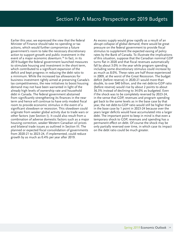Earlier this year, we expressed the view that the federal Minister of Finance should take no spending or tax actions, which would further compromise a future government's room to take the necessary discretionary action to support growth and public investment in the event of a major economic downturn.<sup>18</sup> In fact, in its 2019 budget the federal government launched measures to stimulate housing and investment in the short term, which contributed to a significant expansion of the deficit and kept progress in reducing the debt ratio to a minimum. While the increased tax allowances for business investment rightly aimed at preserving Canada's tax competitiveness, the new initiatives to boost housing demand may not have been warranted in light of the already high levels of ownership rate and household debt in Canada. The federal government abstained from significantly strengthening its finances in the near term and hence will continue to have only modest fiscal room to provide economic stimulus in the event of a significant slowdown or recession. This slowdown could originate from weaker global activity due to trade wars or other factors (see Section I). It could also result from a combination of adverse domestic factors such as a major housing correction, weaker Western Canadian oil prices and bilateral trade issues as outlined in Section III. The planned or expected fiscal consolidation of governments from 2020-21 to 2023-24, if implemented, could reduce growth by as much as 0.4% per year after 2019.

As excess supply would grow rapidly as a result of an abrupt collapse of global demand, there would be great pressure on the federal government to provide fiscal stimulus to supplement the expected easing of policy rates by the Bank of Canada. To illustrate the implications of this situation, suppose that the Canadian nominal GDP turns flat in 2020 and that fiscal revenues automatically fall by about 3.0% in the year while program spending including some discretionary stimulus could increase by as much as 8.0%. These rates are half those experienced in 2009, at the worst of the Great Recession. The budget deficit (before reserve) in 2020-21 would more than double, to over \$40 billion, and the net debt-to-GDP ratio (before reserve) would rise by about 2 points to about 36.3% instead of declining to 34.0% as budgeted. Even if the shock was to be completely reversed by 2023-24, in the sense that GDP, revenues and program spending get back to the same levels as in the base case by that year, the net debt-to-GDP ratio would still be higher than in the base case by 1 point in 2023-24 because over the years larger deficits would have accumulated into a larger debt. The important point to keep in mind is that even a temporary shock to GDP, revenues and spending has a permanent effect on debt. Of course the shock may be only partially reversed over time, in which case its impact on the debt ratio could be much greater.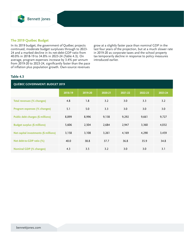

#### **The 2019 Québec Budget**

In its 2019 budget, the government of Québec projects continued, moderate budget surpluses through to 2023- 24 and a marked decline in its net-debt-GDP ratio from 40.0% in 2018-19 to 34.8% in 2023-24 (Table 4.3). On average, program expenses increase by 3.4% per annum from 2019-20 to 2023-24, significantly faster than the pace of inflation plus population growth. Own-source revenues

grow at a slightly faster pace than nominal GDP in the last four years of the projection, but at a much slower rate in 2019-20 as corporate taxes and the school property tax temporarily decline in response to policy measures introduced earlier.

#### **Table 4.3**

### **QUÉBEC GOVERNMENT: BUDGET 2019**

|                                          | 2018-19 | 2019-20 | 2020-21 | 2021-22 | 2022-23 | 2023-24 |
|------------------------------------------|---------|---------|---------|---------|---------|---------|
| Total revenues (% changes)               | 4.8     | 1.8     | 3.2     | 3.0     | 3.3     | 3.2     |
| Program expenses (% changes)             | 5.1     | 5.0     | 3.3     | 3.0     | 3.0     | 3.0     |
| <b>Public debt charges (\$ millions)</b> | 8,899   | 8,996   | 9,138   | 9,292   | 9,661   | 9,727   |
| <b>Budget surplus (\$ millions)</b>      | 5,606   | 2,504   | 2,684   | 2,947   | 3,360   | 4,032   |
| Net capital investments (\$ millions)    | 3,158   | 3,108   | 3,261   | 4,169   | 4,290   | 3,459   |
| Net debt-to-GDP ratio (%)                | 40.0    | 38.8    | 37.7    | 36.8    | 35.9    | 34.8    |
| Nominal GDP (% changes)                  | 4.3     | 3.5     | 3.2     | 3.0     | 3.0     | 3.1     |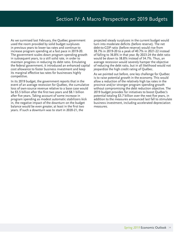As we surmised last February, the Québec government used the room provided by solid budget surpluses in previous years to lower tax rates and continue to increase program spending at a fast pace in 2019-20. The government scales down program spending growth in subsequent years, to a still solid rate, in order to maintain progress in reducing its debt ratio. Emulating the federal government, it introduced an enhanced capital cost allowance to foster business investment and keep its marginal effective tax rates for businesses highly competitive.

In its 2019 budget, the government reports that in the event of an average recession for Québec, the cumulative loss of own-source revenue relative to a base case would be \$5.5 billion after the first two years and \$8.1 billion after five years. Taking account of some increase in program spending as modest automatic stabilizers kick in, the negative impact of the downturn on the budget balance would be even greater, at least in the first two years. If such a downturn was to start in 2020-21, the

projected steady surpluses in the current budget would turn into moderate deficits (before reserve). The net debt-to-GDP ratio (before reserve) would rise from 38.7% in 2019-20 to a peak of 40.7% in 2021-22 instead of falling to 36.8% in that year. By 2023-24 the debt ratio would be down to 38.8% instead of 34.7%. Thus, an average recession would severely hamper the objective of reducing the debt ratio, but in all likelihood would not jeopardize the high credit rating of Québec.

As we pointed out before, one key challenge for Québec is to raise potential growth in the economy. This would allow a reduction of the relatively high tax rates in the province and/or stronger program spending growth without compromising the debt reduction objective. The 2019 budget provides for initiatives to boost Québec's potential totaling \$3.7 billion over the next five years, in addition to the measures announced last fall to stimulate business investment, including accelerated depreciation measures.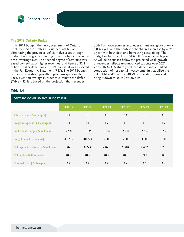

#### **The 2019 Ontario Budget**

In its 2019 budget, the new government of Ontario implemented the strategy it outlined last fall of eliminating the provincial deficit in five years through restraint on program-spending growth, while at the same time lowering taxes. The needed degree of restraint was eased somewhat by higher revenues, and hence a \$2.8 billion smaller deficit for 2018-19 than what was expected in the Fall Economic Statement (FES). The 2019 budget proposes to restrain growth in program spending to 1.0% a year on average in order to eliminate the deficit (Table 4.4). It is based on the projection that revenues,

both from own sources and federal transfers, grow at only 3.0% a year and that public debt charges increase by 4.3% a year with both debt and borrowing costs rising. The budget includes a \$1.0 to \$1.6 billion reserve each year. As will be discussed below the projected weak growth of revenues reflects unannounced tax cuts over 2021- 22 to 2023-24. A sharply reduced deficit and a marked contraction of net capital investments first stabilize the net debt-to-GDP ratio at 40.7% in the short term and bring it down to 38.6% by 2023-24.

#### **Table 4.4**

| <b>ONTARIO GOVERNMENT: BUDGET 2019</b>   |           |           |          |          |          |         |
|------------------------------------------|-----------|-----------|----------|----------|----------|---------|
|                                          | 2018-19   | 2019-20   | 2020-21  | 2021-22  | 2022-23  | 2023-24 |
| Total revenues (% changes)               | 0.1       | 2.3       | 3.6      | 2.4      | 2.9      | 3.9     |
| Program expenses (% changes)             | 5.4       | 0.1       | 1.2      | 1.3      | 1.3      | 1.2     |
| <b>Public debt charges (\$ millions)</b> | 12,534    | 13,335    | 13,700   | 14,400   | 14,900   | 15,500  |
| <b>Budget deficit (\$ millions)</b>      | $-11,736$ | $-10,279$ | $-6,800$ | $-5,600$ | $-3,500$ | 300     |
| Net capital investments (\$ millions)    | 7,871     | 6,223     | 4,821    | 5,348    | 2,462    | 3,281   |
| Net debt-to-GDP ratio (%)                | 40.2      | 40.7      | 40.7     | 40.6     | 39.8     | 38.6    |
| Nominal GDP (% changes)                  | 3.4       | 3.4       | 3.4      | 3.2      | 3.6      | 3.9     |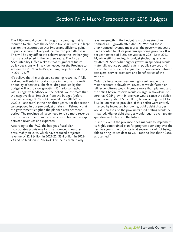The 1.0% annual growth in program spending that is required to eliminate the deficit in five years, rests in large part on the assumption that important efficiency gains in public service delivery will be realized year after year. This will be very difficult to achieve once the low-hanging fruits are collected in the first few years. The Fiscal Accountability Office reckons that "significant future policy decisions will likely be needed for the Province to achieve the 2019 budget's spending projections starting in 2021-22."19

We believe that the projected spending restraint, if fully realized, will entail important cuts in the quantity and/ or quality of services. The fiscal drag implied by this budget will act to slow growth in Ontario somewhat, with a negative feedback on the deficit. We estimate that the negative fiscal impulses from the budget (before reserve) average 0.6% of Ontario GDP in 2019-20 and 2020-21, and 0.3% in the next three years. For this reason we proposed in our pre-budget analysis in February that the government lengthen the planned retrenchment period. The province will also need to raise more revenue from sources other than income taxes to bridge the gap between revenues and expenses.

According to the FAO, the budget's fiscal plan incorporates provisions for unannounced measures, presumably tax cuts, which have reduced projected revenue by \$2.2 billion in 2021-22, \$3.4 billion in 2022- 23 and \$3.6 billion in 2023-24. This helps explain why

revenue growth in the budget is much weaker than nominal GDP growth after 2020-21. Without these unannounced revenue measures, the government could have afforded to let its program spending grow by 2.0% per year instead of 1.2% per year over 2021-22 to 2023- 24, while still balancing its budget (including reserve) by 2023-24. Somewhat higher growth in spending would materially reduce potential cuts in public services and distribute the burden of adjustment more evenly between taxpayers, service providers and beneficiaries of the services.

Ontario's fiscal objectives are highly vulnerable to a major economic slowdown: revenues would flatten or fall, expenditures would increase more than planned and the deficit before reserve would enlarge. A slowdown to zero real GDP growth in one year would cause the deficit to increase by about \$3.5 billion, far exceeding the \$1 to \$1.6 billion reserve provided. If this deficit were entirely financed by increased borrowing, public debt charges would increase and the province's credit rating would be impaired. Higher debt charges would require even greater spending reductions in the future.

In short, even if the province does manage to implement its highly constrained plan for program spending over the next five years, the province is at severe risk of not being able to bring its net debt-to-GDP ratio to less than 40.0% as planned.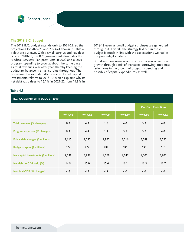

#### **The 2019 B.C. Budget**

The 2019 B.C. budget extends only to 2021-22, so the projections for 2022-23 and 2023-24 shown in Table 4.5 below are our own. With a small surplus and low debt ratio in 2018-19, the B.C. government eliminates the Medical Services Plan premiums in 2020 and allows program spending to grow at about the same pace as total revenues year after year, thereby keeping the budgetary balance in small surplus throughout. The government also materially increases its net capital investments relative to 2018-19, which explains why its net debt ratio rises to 16.1% in 2021-22 from 14.8% in

2018-19 even as small budget surpluses are generated throughout. Overall, the strategy laid out in the 2019 budget is much in line with the expectations we had in our pre-budget analysis.

B.C. does have some room to absorb a year of zero real growth through a mix of increased borrowing, moderate reductions in the growth of program spending and possibly of capital expenditures as well.

#### **Table 4.5**

#### **B.C. GOVERNMENT: BUDGET 2019**

|                                       |         |         | <b>Our Own Projections</b> |         |         |         |
|---------------------------------------|---------|---------|----------------------------|---------|---------|---------|
|                                       | 2018-19 | 2019-20 | 2020-21                    | 2021-22 | 2022-23 | 2023-24 |
| Total revenues (% changes)            | 8.9     | 4.3     | 1.7                        | 4.0     | 3.9     | 4.0     |
| Program expenses (% changes)          | 8.3     | 4.4     | 1.8                        | 3.5     | 3.7     | 4.0     |
| Public debt charges (\$ millions)     | 2,615   | 2,797   | 2,951                      | 3,116   | 3,348   | 3,557   |
| <b>Budget surplus (\$ millions)</b>   | 374     | 274     | 287                        | 585     | 630     | 610     |
| Net capital investments (\$ millions) | 2,339   | 3,836   | 4,269                      | 4,247   | 4,000   | 3,800   |
| Net debt-to-GDP ratio (%)             | 14.8    | 15.0    | 15.6                       | 16.1    | 16.5    | 16.7    |
| <b>Nominal GDP (% changes)</b>        | 4.6     | 4.5     | 4.3                        | 4.0     | 4.0     | 4.0     |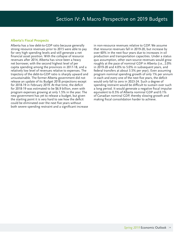#### **Alberta's Fiscal Prospects**

Alberta has a low debt-to-GDP ratio because generally strong resource revenues prior to 2015 were able to pay for very high spending levels and still generate a net financial asset position. With the collapse of resource revenues after 2014, Alberta has since been a heavy net borrower, with the second highest level of per capita spending among the provinces in 2017-18, and a relatively low level of revenues relative to expenses. The trajectory of the debt-to-GDP ratio is sharply upward and unsustainable. The former Alberta government did not release an update of its Budget 2018 projections except for 2018-19 in February 2019. At that time, the deficit for 2018-19 was estimated to be \$6.9 billion, even with program expenses growing at only 1.5% in the year. The new government has yet to release a budget, but given the starting point it is very hard to see how the deficit could be eliminated over the next five years without both severe spending restraint and a significant increase

in non-resource revenues relative to GDP. We assume that resource revenues fall in 2019-20, but increase by over 60% in the next four years due to increases in oil production and transportation capacities. Under a status quo assumption, other own-source revenues would grow roughly at the pace of nominal GDP in Alberta (i.e., 2.0% in 2019-20 and 4.0% to 5.0% in subsequent years, and federal transfers at about 3.5% per year). Even assuming program nominal spending growth of only 1% per annum in each and every one of the next five years, the deficit would only fall to zero in 2023-24. Such a degree of spending restraint would be difficult to sustain over such a long period. It would generate a negative fiscal impulse equivalent to 0.5% of Alberta nominal GDP and 0.1% of Canadian nominal GDP, thereby slowing growth and making fiscal consolidation harder to achieve.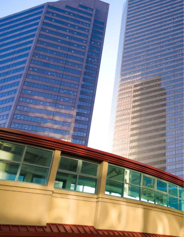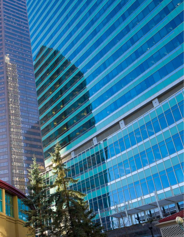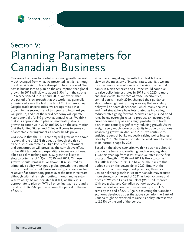

# Section V: Planning Parameters for Canadian Business

Our overall outlook for global economic growth has not much changed from what we presented last fall, although the downside risk of trade disruption has increased. We advise businesses to plan on the assumption that global growth in 2019 will slow to about 3.3% from the strong 3.7% experienced in 2017 and 2018. We expect that the period of slow growth that the world has generally experienced since the last quarter of 2018 is temporary. Despite trade uncertainties, we are optimistic that growth in the second half of this year and into next year will pick up, and that the world economy will operate near potential of 3.3% growth at annual rates. We think that it is appropriate to plan on moderately strong growth to continue in 2020 and 2021, on the assumption that the United States and China will come to some sort of acceptable arrangement as cooler heads prevail.

Our view is that the U.S. economy will grow at the above -potential rate of 2.5% this year, although the risk of trade disruption remains. High levels of employment and consumption will prevail as the stimulative effect of the 2017 tax cuts and expenditure increase continue, albeit at a diminishing rate. U.S. growth is likely to slow to potential of 1.9% in 2020 and 2021. Chinese growth should remain at, or above 6.0%, spurred by stimulative policy. With good global growth, the demand for commodities should grow modestly, and we look for relatively flat commodity prices over the next three years, although with fairly high month-to-month and year-toyear volatility. As we indicated last fall, we think it is appropriate to plan on WTI oil price fluctuating around a trend of US\$60-\$65 per barrel over the period to the end of 2021.

What has changed significantly from last fall is our view on the trajectory of interest rates. Last fall, we and most economic analysts were of the view that central banks in North America and Europe would continue to raise policy interest rates in 2019 and 2020 to more "neutral levels". In the face of trade uncertainties, central banks in early 2019, changed their guidance about future tightening. They now say that monetary policy will be "data dependent", which many analysts and market-watchers have interpreted as indicating reduced rates going forward. Markets have pushed bond rates below overnight rates to produce an inverted yield curve because they assign a high probability to trade disruptions actually significantly reducing growth. As we assign a very much lower probability to trade disruptions weakening growth in 2020 and 2021, we continue to anticipate central banks modestly raising policy interest rates by 2021. We thus anticipate the yield curve to revert to its normal shape by 2021.

Based on the above scenario, we think business should plan on the basis of Canadian growth averaging about 1.3% this year, up from 0.4% at annual rates in the first quarter. Growth in 2020 and 2021 is likely to come in at a little less than 2.0%. On balance, the risks to this outlook are on the downside in 2020. But, with the completion of three important pipelines, there is an upside risk that growth in Western Canada may resume more strongly by the end of 2021 as both volumes and prices of Western Canadian Select (WCS) oil improve. With the global and Canadian outlook above, the Canadian dollar should appreciate mildly to 78 U.S. cents by the end of 2021. Again, assuming the Canadian economy develops as per the above scenario, the Bank of Canada might be expected to raise its policy interest rate to 2.25% by the end of the period.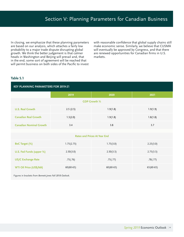In closing, we emphasize that these planning parameters are based on our analysis, which attaches a fairly low probability to a major trade dispute disrupting global growth. We think the better judgement is that calmer heads in Washington and Beijing will prevail and, that in the end, some sort of agreement will be reached that will permit business on both sides of the Pacific to invest with reasonable confidence that global supply chains still make economic sense. Similarly, we believe that CUSMA will eventually be approved by Congress, and that there are renewed opportunities for Canadian firms in U.S. markets.

#### **Table 5.1**

| <b>KEY PLANNING PARAMETERS FOR 2019-21</b> |             |                                     |            |  |  |  |  |  |
|--------------------------------------------|-------------|-------------------------------------|------------|--|--|--|--|--|
|                                            | 2019        | 2020                                | 2021       |  |  |  |  |  |
| <b>GDP Growth %</b>                        |             |                                     |            |  |  |  |  |  |
| <b>U.S. Real Growth</b>                    | 2.5(2.5)    | 1.9(1.8)                            | 1.9(1.9)   |  |  |  |  |  |
| <b>Canadian Real Growth</b>                | 1.5(2.0)    | 1.9(1.8)                            | 1.8(1.8)   |  |  |  |  |  |
| <b>Canadian Nominal Growth</b>             | 3.4         | 3.8                                 | 3.7        |  |  |  |  |  |
|                                            |             |                                     |            |  |  |  |  |  |
|                                            |             | <b>Rates and Prices At Year End</b> |            |  |  |  |  |  |
| <b>BoC Target (%)</b>                      | 1.75(2.75)  | 1.75(3.0)                           | 2.25(3.0)  |  |  |  |  |  |
| U.S. Fed Funds (upper %)                   | 2.50(3.0)   | 2.50(3.5)                           | 2.75(3.5)  |  |  |  |  |  |
| <b>US/C Exchange Rate</b>                  | .75(.76)    | .75(.77)                            | .78(.77)   |  |  |  |  |  |
| WTI Oil Price (US\$/bbl)                   | $60(60-65)$ | $60(60-65)$                         | 65 (60-65) |  |  |  |  |  |

Figures in brackets from *Bennett Jones Fall 2018 Outlook.*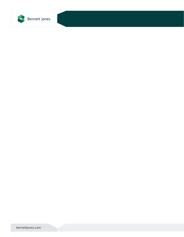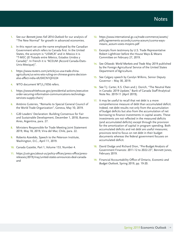- **1.** See our *[Bennett Jones Fall 2016 Outlook](https://www.bennettjones.com/Events-Section/Bennett-Jones-Fall-2018-Economic-Outlook-Calgary)* for our analysis of "The New Normal" for growth in advanced economies.
- **2.** In this report we use the name employed by the Canadian Government which refers to Canada first. In the United States, the acronym is "USMCA" and in Mexico it is "T-MEC (El Tratado entre México, Estados Unidos y Canadá)". In French it is "ACEUM (Accord Canada-États-Unis-Mexique)".
- **3.** [https://www.reuters.com/article/us-usa-trade-china](https://www.reuters.com/article/us-usa-trade-china-agriculture/us-wins-wto-ruling-on-chinese-grains-decision-also-affect-india-idUSKCN1QH224)[agriculture/us-wins-wto-ruling-on-chinese-grains-decision](https://www.reuters.com/article/us-usa-trade-china-agriculture/us-wins-wto-ruling-on-chinese-grains-decision-also-affect-india-idUSKCN1QH224)[also-affect-india-idUSKCN1QH224](https://www.reuters.com/article/us-usa-trade-china-agriculture/us-wins-wto-ruling-on-chinese-grains-decision-also-affect-india-idUSKCN1QH224)
- **4.** WTO document WT/L/1056 refers.
- **5.** [https://www.whitehouse.gov/presidential-actions/executive](https://www.whitehouse.gov/presidential-actions/executive-order-securing-information-communications-technology-services-supply-chain/)[order-securing-information-communications-technology](https://www.whitehouse.gov/presidential-actions/executive-order-securing-information-communications-technology-services-supply-chain/)[services-supply-chain/](https://www.whitehouse.gov/presidential-actions/executive-order-securing-information-communications-technology-services-supply-chain/)
- **6.** António Guterres, "Remarks to Special General Council of the World Trade Organization", Geneva, May 10, 2019.
- **7.** G20 Leaders' Declaration: Building Consensus for Fair and Sustainable Development, December 1, 2018, Buenos Aires, Argentina, para. 27.
- **8.** Ministers Responsible for Trade Meeting Joint Statement 2019, May 18, 2019, Vina del Mar, Chile, para. 22.
- **9.** Roberto Azevêdo, Speech to the Peterson Institute, Washington, D.C., April 11, 2019.
- **10.** Canada Gazette, Part 1, Volume 153, Number 4.
- **11.** [https://ustr.gov/about-us/policy-offices/press-office/press](https://ustr.gov/about-us/policy-offices/press-office/press-releases/2019/may/united-states-announces-deal-canada-and)[releases/2019/may/united-states-announces-deal-canada](https://ustr.gov/about-us/policy-offices/press-office/press-releases/2019/may/united-states-announces-deal-canada-and)[and](https://ustr.gov/about-us/policy-offices/press-office/press-releases/2019/may/united-states-announces-deal-canada-and)
- **12.** [https://www.international.gc.ca/trade-commerce/assets/](https://www.international.gc.ca/trade-commerce/assets/pdfs/agreements-accords/cusma-aceum/cusma-ways-means_aceum-voies-moyens.pdf) [pdfs/agreements-accords/cusma-aceum/cusma-ways](https://www.international.gc.ca/trade-commerce/assets/pdfs/agreements-accords/cusma-aceum/cusma-ways-means_aceum-voies-moyens.pdf)[means\\_aceum-voies-moyens.pdf](https://www.international.gc.ca/trade-commerce/assets/pdfs/agreements-accords/cusma-aceum/cusma-ways-means_aceum-voies-moyens.pdf)
- **13.** Excerpts from testimony by U.S. Trade Representative Robert Lighthizer before the House Ways & Means Committee on February 27, 2019.
- **14.** See Oilseeds: World Markets and Trade May 2019 published by the Foreign Agricultural Service of the United States Department of Agriculture.
- **15.** See Calgary speech by Carolyn Wilkins, Senior Deputy Governor – May 30, 2019.
- **16.** See T.J. Carter, X.S. Chen and J. Dorich, "The Neutral Rate in Canada: 2019 Update," Bank of Canada Staff Analytical Note No. 2019-11 (April 2019).
- **17.** It may be useful to recall that net debt is a more comprehensive measure of debt than accumulated deficit. Indeed, net debt results not only from the accumulation of budget deficits but also from the accumulation of net borrowing to finance investments in capital assets. These investments are not reflected in the measured deficits (and accumulated deficits) except through the provision for the amortization of capital in program spending. Both accumulated deficits and net debt are useful measures; provinces tend to focus on net debt in their budget documents whereas the federal government focuses on accumulated deficit.
- **18.** David Dodge and Richard Dion, "[Pre-Budget Analysis of](https://www.bennettjones.com/PreBudgetAnalysis)  [Government Finances:](https://www.bennettjones.com/PreBudgetAnalysis) 2011-12 to 2022-23", Bennett Jones, February 2019.
- **19.** Financial Accountability Office of Ontario, *Economic and Budget Outlook*, Spring 2019, pp. 19-20.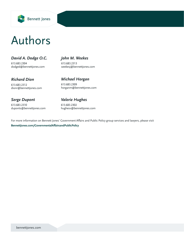

# Authors

*David A. Dodge O.C.*

613.683.2304 dodged@bennettjones.com

### *Richard Dion*

613.683.2312 dionr@bennettjones.com

### *Serge Dupont*

613.683.2310 duponts@bennettjones.com

### *John M. Weekes*

613.683.2313 weekesj@bennettjones.com

### *Michael Horgan*

613.683.2309 horganm@bennettjones.com

### *Valerie Hughes*

613.683.2302 hughesv@bennettjones.com

For more information on Bennett Jones' Government Affairs and Public Policy group services and lawyers, please visit **BennettJones.com/GovernmentalAffairsandPublicPolicy**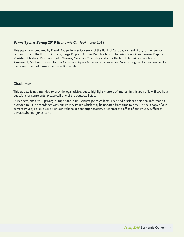#### *Bennett Jones Spring 2019 Economic Outlook***, June 2019**

This paper was prepared by David Dodge, former Governor of the Bank of Canada, Richard Dion, former Senior Economist with the Bank of Canada, Serge Dupont, former Deputy Clerk of the Privy Council and former Deputy Minister of Natural Resources, John Weekes, Canada's Chief Negotiator for the North American Free Trade Agreement, Michael Horgan, former Canadian Deputy Minister of Finance, and Valerie Hughes, former counsel for the Government of Canada before WTO panels.

#### **Disclaimer**

This update is not intended to provide legal advice, but to highlight matters of interest in this area of law. If you have questions or comments, please call one of the contacts listed.

At Bennett Jones, your privacy is important to us. Bennett Jones collects, uses and discloses personal information provided to us in accordance with our Privacy Policy, which may be updated from time to time. To see a copy of our current Privacy Policy please visit our website at bennettjones.com, or contact the office of our Privacy Officer at privacy@bennettjones.com.